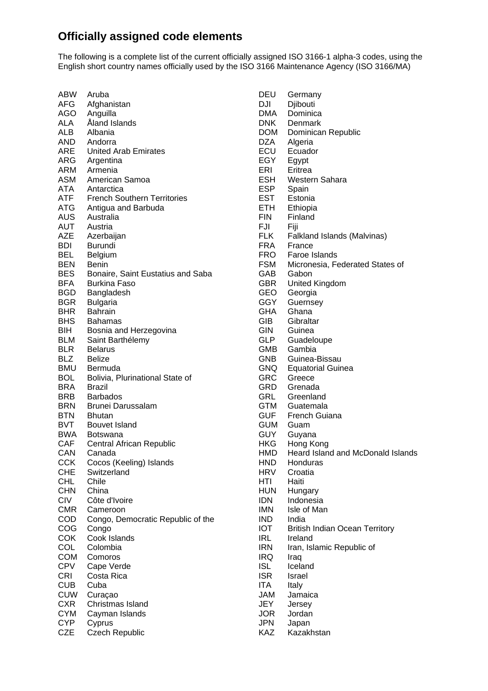## **Officially assigned code elements**

The following is a complete list of the current officially assigned ISO 3166-1 alpha-3 codes, using the English short country names officially used by the ISO 3166 Maintenance Agency (ISO 3166/MA)

| ABW        | Aruba                              |
|------------|------------------------------------|
| AFG        | Afghanistan                        |
| AGO        | Anguilla                           |
| ALA        | Åland Islands                      |
| <b>ALB</b> | Albania                            |
| AND        | Andorra                            |
| ARE        | <b>United Arab Emirates</b>        |
| ARG        | Argentina                          |
| ARM        | Armenia                            |
| ASM        | American Samoa                     |
| ATA        | Antarctica                         |
| ATF        | <b>French Southern Territories</b> |
| ATG        | Antigua and Barbuda                |
| AUS        | Australia                          |
| AUT        | Austria                            |
| AZE        | Azerbaijan                         |
| BDI        | <b>Burundi</b>                     |
| BEL        | Belgium                            |
| <b>BEN</b> | Benin                              |
| <b>BES</b> | Bonaire, Saint Eustatius and Saba  |
| BFA        | <b>Burkina Faso</b>                |
| BGD        | Bangladesh                         |
| <b>BGR</b> | <b>Bulgaria</b>                    |
| BHR        | <b>Bahrain</b>                     |
| <b>BHS</b> | Bahamas                            |
| BIH        | Bosnia and Herzegovina             |
| BLM        | Saint Barthélemy                   |
| <b>BLR</b> | <b>Belarus</b>                     |
| <b>BLZ</b> | Belize                             |
| <b>BMU</b> | Bermuda                            |
| <b>BOL</b> | Bolivia, Plurinational State of    |
| <b>BRA</b> | Brazil                             |
| BRB        | <b>Barbados</b>                    |
| BRN        | <b>Brunei Darussalam</b>           |
| <b>BTN</b> | Bhutan                             |
| <b>BVT</b> | <b>Bouvet Island</b>               |
| <b>BWA</b> | Botswana                           |
| CAF        | <b>Central African Republic</b>    |
| CAN        | Canada                             |
| CCK        | Cocos (Keeling) Islands            |
| CHE        | Switzerland                        |
| CHL        | Chile                              |
| <b>CHN</b> | China                              |
| <b>CIV</b> | Côte d'Ivoire                      |
| <b>CMR</b> | Cameroon                           |
| <b>COD</b> | Congo, Democratic Republic of the  |
| COG        | Congo                              |
| COK        | Cook Islands                       |
| COL        | Colombia                           |
| <b>COM</b> | Comoros                            |
| <b>CPV</b> | Cape Verde                         |
| <b>CRI</b> | Costa Rica                         |
| <b>CUB</b> | Cuba                               |
| CUW        | Curaçao                            |
| <b>CXR</b> | Christmas Island                   |
| <b>CYM</b> | Cayman Islands                     |
| <b>CYP</b> | Cyprus                             |
| CZE        | <b>Czech Republic</b>              |

DEU Germany DJI Djibouti<br>DMA Dominic DMA Dominica<br>DNK Denmark Denmark DOM Dominican Republic<br>DZA Algeria DZA Algeria<br>ECU Ecuado **Ecuador** EGY Egypt ERI Eritrea ESH Western Sahara ESP Spain EST Estonia<br>ETH Ethiopia Ethiopia FIN Finland FJI Fiji FLK Falkland Islands (Malvinas) FRA France FRO Faroe Islands FSM Micronesia, Federated States of GAB Gabon GBR United Kingdom GEO Georgia GGY Guernsey<br>GHA Ghana GHA Ghana<br>GIB Gibralta Gibraltar GIN Guinea<br>GLP Guadel Guadeloupe GMB Gambia GNB Guinea-Bissau GNQ Equatorial Guinea GRC Greece GRD Grenada GRL Greenland GTM Guatemala GUF French Guiana GUM Guam GUY Guyana<br>HKG Hong Ko Hong Kong HMD Heard Island and McDonald Islands HND Honduras HRV Croatia HTI Haiti HUN Hungary **IDN** Indonesia<br>**IMN** Isle of Mar Isle of Man **IND** India<br>**IOT** Britis British Indian Ocean Territory IRL Ireland IRN Iran, Islamic Republic of IRQ Iraq ISL Iceland ISR Israel ITA Italy JAM Jamaica

- JEY Jersey<br>JOR Jordan **Jordan**
- JPN Japan
- KAZ Kazakhstan